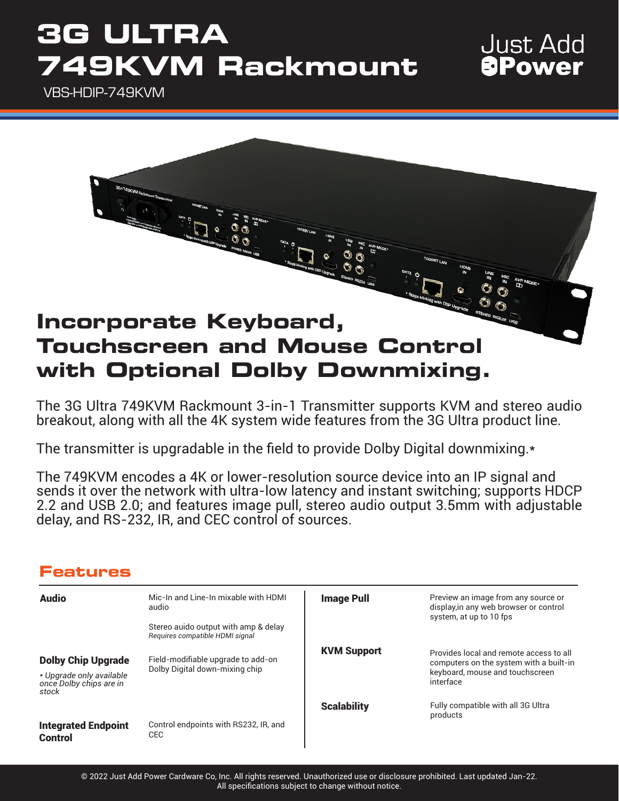## **3G ULTRA 749KVM Rackmount**

### **Just Add** *<u>aPower</u>*

VBS-HDIP-749KVM



The 3G Ultra 749KVM Rackmount 3-in-1 Transmitter supports KVM and stereo audio breakout, along with all the 4K system wide features from the 3G Ultra product line.

The transmitter is upgradable in the field to provide Dolby Digital downmixing.\*

The 749KVM encodes a 4K or lower-resolution source device into an IP signal and sends it over the network with ultra-low latency and instant switching; supports HDCP 2.2 and USB 2.0; and features image pull, stereo audio output 3.5mm with adjustable delay, and RS-232, IR, and CEC control of sources.

### **Features**

| <b>Audio</b>                                                                              | Mic-In and Line-In mixable with HDMI<br>audio<br>Stereo auido output with amp & delay<br>Requires compatible HDMI signal | <b>Image Pull</b>  | Preview an image from any source or<br>display, in any web browser or control<br>system, at up to 10 fps                           |
|-------------------------------------------------------------------------------------------|--------------------------------------------------------------------------------------------------------------------------|--------------------|------------------------------------------------------------------------------------------------------------------------------------|
| <b>Dolby Chip Upgrade</b><br>* Upgrade only available<br>once Dolby chips are in<br>stock | Field-modifiable upgrade to add-on<br>Dolby Digital down-mixing chip                                                     | <b>KVM Support</b> | Provides local and remote access to all<br>computers on the system with a built-in<br>keyboard, mouse and touchscreen<br>interface |
|                                                                                           |                                                                                                                          | <b>Scalability</b> | Fully compatible with all 3G Ultra<br>products                                                                                     |
| <b>Integrated Endpoint</b><br><b>Control</b>                                              | Control endpoints with RS232, IR, and<br>CEC                                                                             |                    |                                                                                                                                    |